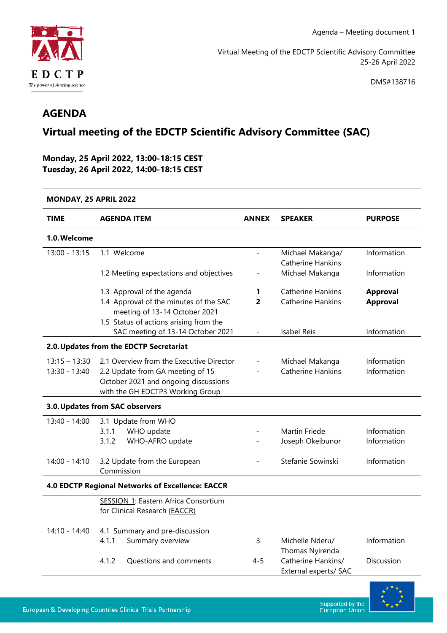

Virtual Meeting of the EDCTP Scientific Advisory Committee 25-26 April 2022

DMS#138716

## **AGENDA**

# **Virtual meeting of the EDCTP Scientific Advisory Committee (SAC)**

**Monday, 25 April 2022, 13:00-18:15 CEST Tuesday, 26 April 2022, 14:00-18:15 CEST** 

#### **MONDAY, 25 APRIL 2022**

| <b>TIME</b>     | <b>AGENDA ITEM</b>                                                                                           | <b>ANNEX</b>             | <b>SPEAKER</b>                               | <b>PURPOSE</b>  |
|-----------------|--------------------------------------------------------------------------------------------------------------|--------------------------|----------------------------------------------|-----------------|
| 1.0. Welcome    |                                                                                                              |                          |                                              |                 |
| $13:00 - 13:15$ | 1.1 Welcome                                                                                                  | $\overline{\phantom{a}}$ | Michael Makanga/<br><b>Catherine Hankins</b> | Information     |
|                 | 1.2 Meeting expectations and objectives                                                                      |                          | Michael Makanga                              | Information     |
|                 | 1.3 Approval of the agenda                                                                                   | 1                        | Catherine Hankins                            | <b>Approval</b> |
|                 | 1.4 Approval of the minutes of the SAC<br>meeting of 13-14 October 2021                                      | $\overline{2}$           | <b>Catherine Hankins</b>                     | <b>Approval</b> |
|                 | 1.5 Status of actions arising from the<br>SAC meeting of 13-14 October 2021                                  |                          | <b>Isabel Reis</b>                           | Information     |
|                 | 2.0. Updates from the EDCTP Secretariat                                                                      |                          |                                              |                 |
| $13:15 - 13:30$ | 2.1 Overview from the Executive Director                                                                     |                          | Michael Makanga                              | Information     |
| $13:30 - 13:40$ | 2.2 Update from GA meeting of 15<br>October 2021 and ongoing discussions<br>with the GH EDCTP3 Working Group |                          | <b>Catherine Hankins</b>                     | Information     |
|                 | 3.0. Updates from SAC observers                                                                              |                          |                                              |                 |
| 13:40 - 14:00   | 3.1 Update from WHO                                                                                          |                          |                                              |                 |
|                 | 3.1.1<br>WHO update                                                                                          |                          | Martin Friede                                | Information     |
|                 | WHO-AFRO update<br>3.1.2                                                                                     |                          | Joseph Okeibunor                             | Information     |
| $14:00 - 14:10$ | 3.2 Update from the European<br>Commission                                                                   |                          | Stefanie Sowinski                            | Information     |
|                 | 4.0 EDCTP Regional Networks of Excellence: EACCR                                                             |                          |                                              |                 |
|                 | <b>SESSION 1: Eastern Africa Consortium</b>                                                                  |                          |                                              |                 |
|                 | for Clinical Research (EACCR)                                                                                |                          |                                              |                 |
| $14:10 - 14:40$ | 4.1 Summary and pre-discussion                                                                               |                          |                                              |                 |
|                 | 4.1.1<br>Summary overview                                                                                    | 3                        | Michelle Nderu/<br>Thomas Nyirenda           | Information     |
|                 | 4.1.2<br>Questions and comments                                                                              | $4 - 5$                  | Catherine Hankins/                           | Discussion      |



External experts/ SAC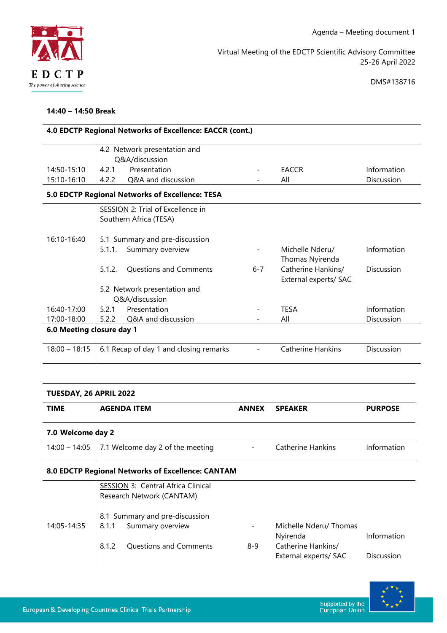

**14:40 – 14:50 Break**

Virtual Meeting of the EDCTP Scientific Advisory Committee 25-26 April 2022

DMS#138716

| 4.0 EDCTP Regional Networks of Excellence: EACCR (cont.) |                                                 |         |                                             |             |  |  |
|----------------------------------------------------------|-------------------------------------------------|---------|---------------------------------------------|-------------|--|--|
|                                                          | 4.2 Network presentation and                    |         |                                             |             |  |  |
|                                                          | Q&A/discussion                                  |         |                                             |             |  |  |
| 14:50-15:10                                              | 4.2.1<br>Presentation                           |         | <b>EACCR</b>                                | Information |  |  |
| 15:10-16:10                                              | 4.2.2<br>Q&A and discussion                     |         | All                                         | Discussion  |  |  |
|                                                          | 5.0 EDCTP Regional Networks of Excellence: TESA |         |                                             |             |  |  |
|                                                          | SESSION 2: Trial of Excellence in               |         |                                             |             |  |  |
|                                                          | Southern Africa (TESA)                          |         |                                             |             |  |  |
| 16:10-16:40                                              | 5.1 Summary and pre-discussion                  |         |                                             |             |  |  |
|                                                          | 5.1.1.<br>Summary overview                      |         | Michelle Nderu/<br>Thomas Nyirenda          | Information |  |  |
|                                                          | 5.1.2.<br><b>Questions and Comments</b>         | $6 - 7$ | Catherine Hankins/<br>External experts/ SAC | Discussion  |  |  |
|                                                          | 5.2 Network presentation and<br>Q&A/discussion  |         |                                             |             |  |  |
| 16:40-17:00                                              | 5.2.1<br>Presentation                           |         | <b>TFSA</b>                                 | Information |  |  |
| 17:00-18:00                                              | 5.2.2<br>Q&A and discussion                     |         | All                                         | Discussion  |  |  |
| 6.0 Meeting closure day 1                                |                                                 |         |                                             |             |  |  |
| $18:00 - 18:15$                                          | 6.1 Recap of day 1 and closing remarks          |         | <b>Catherine Hankins</b>                    | Discussion  |  |  |

## **TUESDAY, 26 APRIL 2022**

| TIME                                              | <b>AGENDA ITEM</b>                                              | <b>ANNEX</b>             | <b>SPEAKER</b>                              | <b>PURPOSE</b> |  |
|---------------------------------------------------|-----------------------------------------------------------------|--------------------------|---------------------------------------------|----------------|--|
| 7.0 Welcome day 2                                 |                                                                 |                          |                                             |                |  |
| $14:00 - 14:05$                                   | 7.1 Welcome day 2 of the meeting                                |                          | Catherine Hankins                           | Information    |  |
| 8.0 EDCTP Regional Networks of Excellence: CANTAM |                                                                 |                          |                                             |                |  |
|                                                   | SESSION 3: Central Africa Clinical<br>Research Network (CANTAM) |                          |                                             |                |  |
|                                                   | 8.1 Summary and pre-discussion                                  |                          |                                             |                |  |
| 14:05-14:35                                       | 8.1.1<br>Summary overview                                       | $\overline{\phantom{a}}$ | Michelle Nderu/Thomas<br>Nyirenda           | Information    |  |
|                                                   | 8.1.2<br><b>Ouestions and Comments</b>                          | 8-9                      | Catherine Hankins/<br>External experts/ SAC | Discussion     |  |